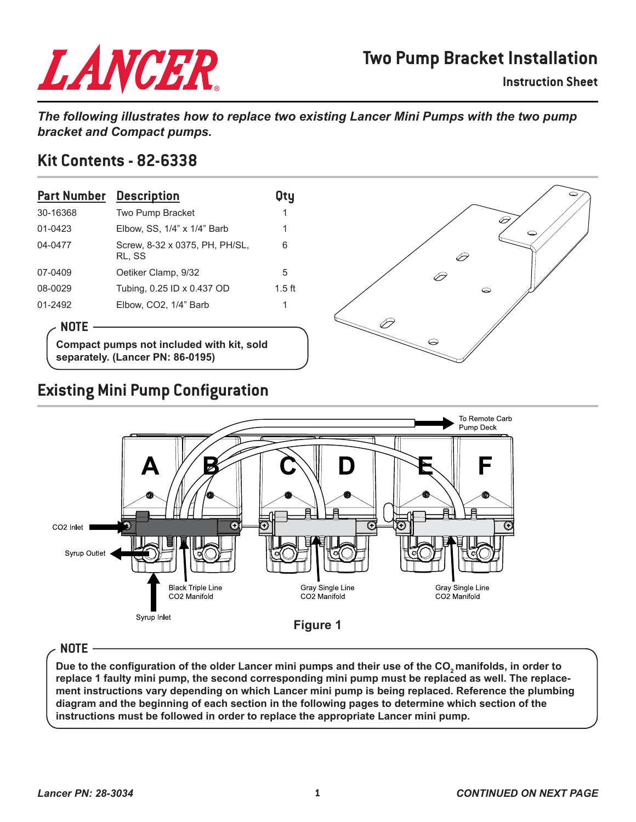# LANCER

## **Two Pump Bracket Installation**

**Instruction Sheet**

*The following illustrates how to replace two existing Lancer Mini Pumps with the two pump bracket and Compact pumps.*

#### **Kit Contents - 82-6338**

| <b>Part Number</b> Description |                                          | Otu      |
|--------------------------------|------------------------------------------|----------|
| 30-16368                       | Two Pump Bracket                         | 1        |
| 01-0423                        | Elbow, SS, 1/4" x 1/4" Barb              | 1        |
| 04-0477                        | Screw, 8-32 x 0375, PH, PH/SL,<br>RL. SS | 6        |
| 07-0409                        | Oetiker Clamp, 9/32                      | 5        |
| 08-0029                        | Tubing, 0.25 ID x 0.437 OD               | $1.5$ ft |
| 01-2492                        | Elbow, CO2, 1/4" Barb                    |          |

#### **NOTE**

**Compact pumps not included with kit, sold separately. (Lancer PN: 86-0195)**



## **Existing Mini Pump Configuration**



#### **NOTE**

**Due to the configuration of the older Lancer mini pumps and their use of the CO2 manifolds, in order to replace 1 faulty mini pump, the second corresponding mini pump must be replaced as well. The replacement instructions vary depending on which Lancer mini pump is being replaced. Reference the plumbing diagram and the beginning of each section in the following pages to determine which section of the instructions must be followed in order to replace the appropriate Lancer mini pump.**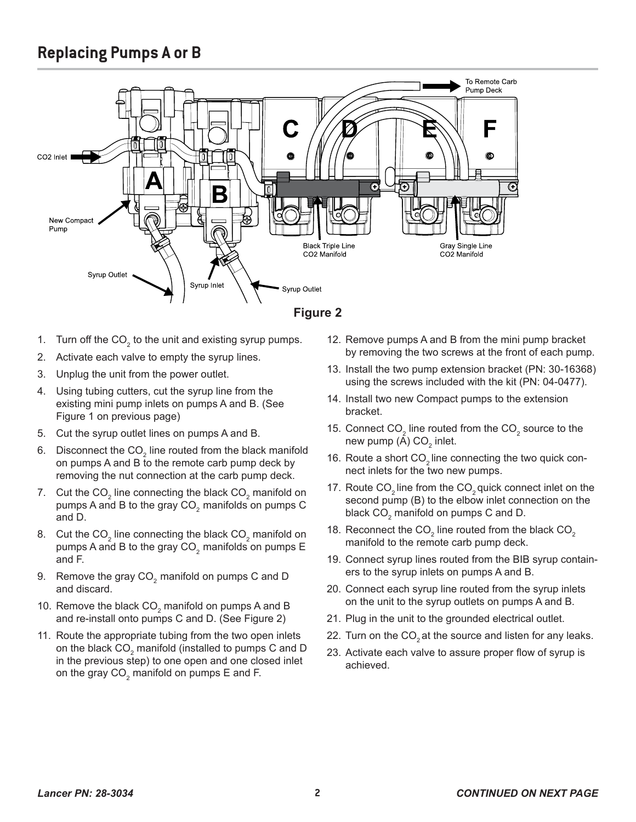## **Replacing Pumps A or B**



- 1. Turn off the CO<sub>2</sub> to the unit and existing syrup pumps.
- 2. Activate each valve to empty the syrup lines.
- 3. Unplug the unit from the power outlet.
- 4. Using tubing cutters, cut the syrup line from the existing mini pump inlets on pumps A and B. (See Figure 1 on previous page)
- 5. Cut the syrup outlet lines on pumps A and B.
- 6.  $\,$  Disconnect the CO $_{_2}$  line routed from the black manifold on pumps A and B to the remote carb pump deck by removing the nut connection at the carb pump deck.
- 7.  $\,$  Cut the CO $_{2}$  line connecting the black CO $_{2}$  manifold on pumps A and B to the gray  $CO<sub>2</sub>$  manifolds on pumps C and D.
- 8.  $\,$  Cut the CO $_{2}$  line connecting the black CO $_{2}$  manifold on  $\,$ pumps A and B to the gray  $CO<sub>2</sub>$  manifolds on pumps E and F.
- 9. Remove the gray CO<sub>2</sub> manifold on pumps C and D and discard.
- 10. Remove the black  $\mathsf{CO}_2$  manifold on pumps A and B and re-install onto pumps C and D. (See Figure 2)
- 11. Route the appropriate tubing from the two open inlets on the black CO $_{_2}$ manifold (installed to pumps C and D in the previous step) to one open and one closed inlet on the gray CO $_{\textrm{\tiny{2}}}$  manifold on pumps E and F.
- 12. Remove pumps A and B from the mini pump bracket by removing the two screws at the front of each pump.
- 13. Install the two pump extension bracket (PN: 30-16368) using the screws included with the kit (PN: 04-0477).
- 14. Install two new Compact pumps to the extension bracket.
- 15. Connect CO<sub>2</sub> line routed from the CO<sub>2</sub> source to the new pump (A) CO $_{\rm 2}$  inlet.
- 16. Route a short CO<sub>2</sub> line connecting the two quick connect inlets for the two new pumps.
- 17. Route  $CO<sub>2</sub>$  line from the  $CO<sub>2</sub>$  quick connect inlet on the second pump (B) to the elbow inlet connection on the black  $\mathsf{CO}_2^{}$  manifold on pumps  $\mathsf C$  and D.
- 18. Reconnect the CO $_2$  line routed from the black CO $_2$ manifold to the remote carb pump deck.
- 19. Connect syrup lines routed from the BIB syrup containers to the syrup inlets on pumps A and B.
- 20. Connect each syrup line routed from the syrup inlets on the unit to the syrup outlets on pumps A and B.
- 21. Plug in the unit to the grounded electrical outlet.
- 22. Turn on the  $CO<sub>2</sub>$  at the source and listen for any leaks.
- 23. Activate each valve to assure proper flow of syrup is achieved.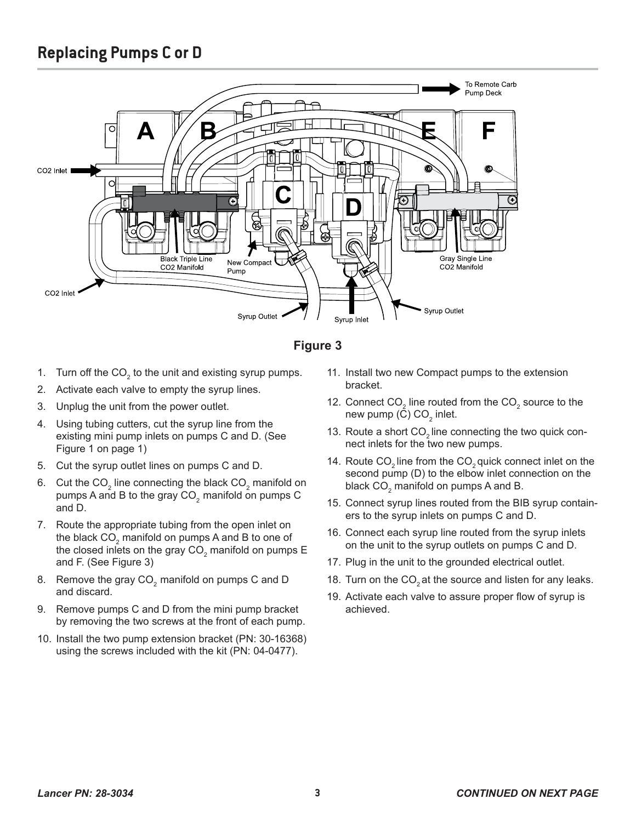## **Replacing Pumps C or D**



#### **Figure 3**

- 1. Turn off the CO<sub>2</sub> to the unit and existing syrup pumps.
- 2. Activate each valve to empty the syrup lines.
- 3. Unplug the unit from the power outlet.
- 4. Using tubing cutters, cut the syrup line from the existing mini pump inlets on pumps C and D. (See Figure 1 on page 1)
- 5. Cut the syrup outlet lines on pumps C and D.
- 6.  $\,$  Cut the CO $_{2}$  line connecting the black CO $_{2}$  manifold on pumps A and B to the gray  $CO<sub>2</sub>$  manifold on pumps C and D.
- 7. Route the appropriate tubing from the open inlet on the black CO $_{\textrm{\tiny{2}}}$  manifold on pumps A and B to one of the closed inlets on the gray CO $_{\rm 2}$  manifold on pumps E and F. (See Figure 3)
- 8. Remove the gray CO<sub>2</sub> manifold on pumps C and D and discard.
- 9. Remove pumps C and D from the mini pump bracket by removing the two screws at the front of each pump.
- 10. Install the two pump extension bracket (PN: 30-16368) using the screws included with the kit (PN: 04-0477).
- 11. Install two new Compact pumps to the extension bracket.
- 12. Connect CO<sub>2</sub> line routed from the CO<sub>2</sub> source to the new pump (C) CO $_{\rm 2}$  inlet.
- 13. Route a short CO<sub>2</sub> line connecting the two quick connect inlets for the two new pumps.
- 14. Route  $CO<sub>2</sub>$  line from the  $CO<sub>2</sub>$  quick connect inlet on the second pump (D) to the elbow inlet connection on the black  $\mathsf{CO}_2^{}$  manifold on pumps A and B.
- 15. Connect syrup lines routed from the BIB syrup containers to the syrup inlets on pumps C and D.
- 16. Connect each syrup line routed from the syrup inlets on the unit to the syrup outlets on pumps C and D.
- 17. Plug in the unit to the grounded electrical outlet.
- 18. Turn on the CO<sub>2</sub> at the source and listen for any leaks.
- 19. Activate each valve to assure proper flow of syrup is achieved.